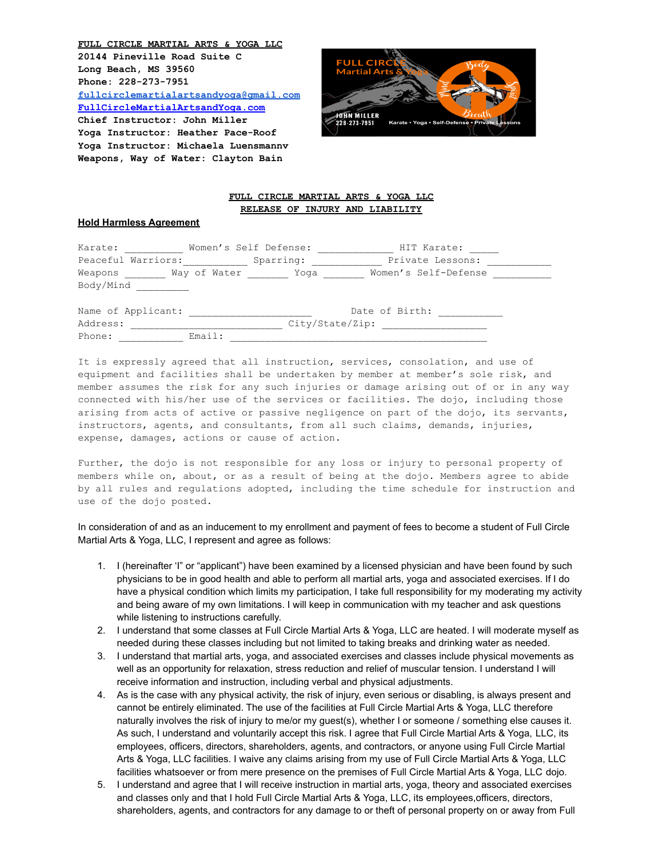**FULL CIRCLE MARTIAL ARTS & YOGA LLC 20144 Pineville Road Suite C Long Beach, MS 39560 Phone: 228-273-7951 [fullcirclemartialartsandyoga@gmail.com](mailto:fullcirclemartialartsandyoga@gmail.com) FullCircleMartialArtsandYoga.com Chief Instructor: John Miller Yoga Instructor: Heather Pace-Roof Yoga Instructor: Michaela Luensmannv Weapons, Way of Water: Clayton Bain**



## **FULL CIRCLE MARTIAL ARTS & YOGA LLC RELEASE OF INJURY AND LIABILITY**

## **Hold Harmless Agreement**

| Karate:            |              | Women's Self Defense: | HIT Karate:          |  |
|--------------------|--------------|-----------------------|----------------------|--|
| Peaceful Warriors: |              | Sparring:             | Private Lessons:     |  |
| Weapons            | Way of Water | Yoqa                  | Women's Self-Defense |  |
| Body/Mind          |              |                       |                      |  |

| Name of Applicant: |        |                 | Date of Birth: |  |
|--------------------|--------|-----------------|----------------|--|
| Address:           |        | City/State/Zip: |                |  |
| Phone:             | Email: |                 |                |  |

It is expressly agreed that all instruction, services, consolation, and use of equipment and facilities shall be undertaken by member at member's sole risk, and member assumes the risk for any such injuries or damage arising out of or in any way connected with his/her use of the services or facilities. The dojo, including those arising from acts of active or passive negligence on part of the dojo, its servants, instructors, agents, and consultants, from all such claims, demands, injuries, expense, damages, actions or cause of action.

Further, the dojo is not responsible for any loss or injury to personal property of members while on, about, or as a result of being at the dojo. Members agree to abide by all rules and regulations adopted, including the time schedule for instruction and use of the dojo posted.

In consideration of and as an inducement to my enrollment and payment of fees to become a student of Full Circle Martial Arts & Yoga, LLC, I represent and agree as follows:

- 1. I (hereinafter 'I" or "applicant") have been examined by a licensed physician and have been found by such physicians to be in good health and able to perform all martial arts, yoga and associated exercises. If I do have a physical condition which limits my participation, I take full responsibility for my moderating my activity and being aware of my own limitations. I will keep in communication with my teacher and ask questions while listening to instructions carefully.
- 2. I understand that some classes at Full Circle Martial Arts & Yoga, LLC are heated. I will moderate myself as needed during these classes including but not limited to taking breaks and drinking water as needed.
- 3. I understand that martial arts, yoga, and associated exercises and classes include physical movements as well as an opportunity for relaxation, stress reduction and relief of muscular tension. I understand I will receive information and instruction, including verbal and physical adjustments.
- 4. As is the case with any physical activity, the risk of injury, even serious or disabling, is always present and cannot be entirely eliminated. The use of the facilities at Full Circle Martial Arts & Yoga, LLC therefore naturally involves the risk of injury to me/or my guest(s), whether I or someone / something else causes it. As such, I understand and voluntarily accept this risk. I agree that Full Circle Martial Arts & Yoga, LLC, its employees, officers, directors, shareholders, agents, and contractors, or anyone using Full Circle Martial Arts & Yoga, LLC facilities. I waive any claims arising from my use of Full Circle Martial Arts & Yoga, LLC facilities whatsoever or from mere presence on the premises of Full Circle Martial Arts & Yoga, LLC dojo.
- 5. I understand and agree that I will receive instruction in martial arts, yoga, theory and associated exercises and classes only and that I hold Full Circle Martial Arts & Yoga, LLC, its employees,officers, directors, shareholders, agents, and contractors for any damage to or theft of personal property on or away from Full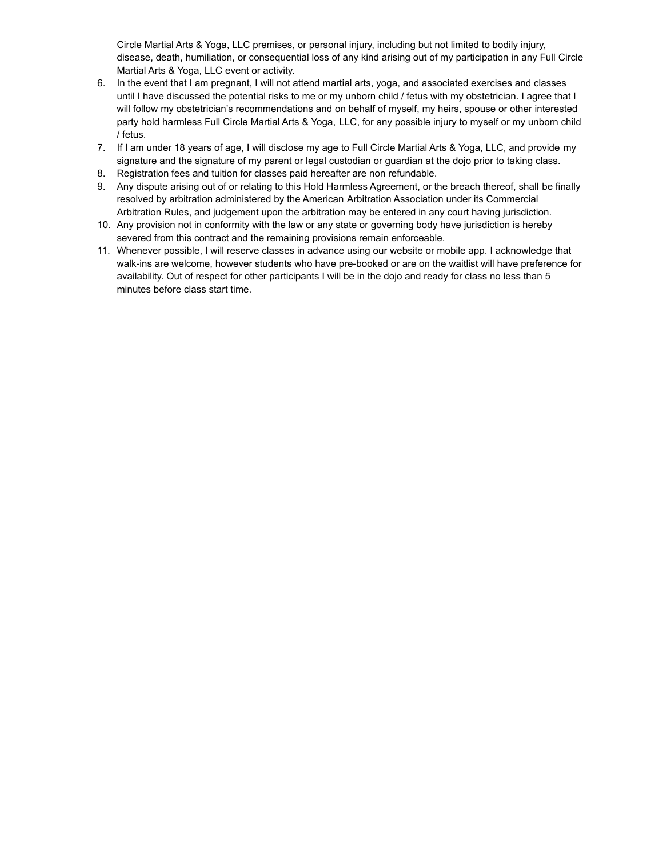Circle Martial Arts & Yoga, LLC premises, or personal injury, including but not limited to bodily injury, disease, death, humiliation, or consequential loss of any kind arising out of my participation in any Full Circle Martial Arts & Yoga, LLC event or activity.

- 6. In the event that I am pregnant, I will not attend martial arts, yoga, and associated exercises and classes until I have discussed the potential risks to me or my unborn child / fetus with my obstetrician. I agree that I will follow my obstetrician's recommendations and on behalf of myself, my heirs, spouse or other interested party hold harmless Full Circle Martial Arts & Yoga, LLC, for any possible injury to myself or my unborn child / fetus.
- 7. If I am under 18 years of age, I will disclose my age to Full Circle Martial Arts & Yoga, LLC, and provide my signature and the signature of my parent or legal custodian or guardian at the dojo prior to taking class.
- 8. Registration fees and tuition for classes paid hereafter are non refundable.
- 9. Any dispute arising out of or relating to this Hold Harmless Agreement, or the breach thereof, shall be finally resolved by arbitration administered by the American Arbitration Association under its Commercial Arbitration Rules, and judgement upon the arbitration may be entered in any court having jurisdiction.
- 10. Any provision not in conformity with the law or any state or governing body have jurisdiction is hereby severed from this contract and the remaining provisions remain enforceable.
- 11. Whenever possible, I will reserve classes in advance using our website or mobile app. I acknowledge that walk-ins are welcome, however students who have pre-booked or are on the waitlist will have preference for availability. Out of respect for other participants I will be in the dojo and ready for class no less than 5 minutes before class start time.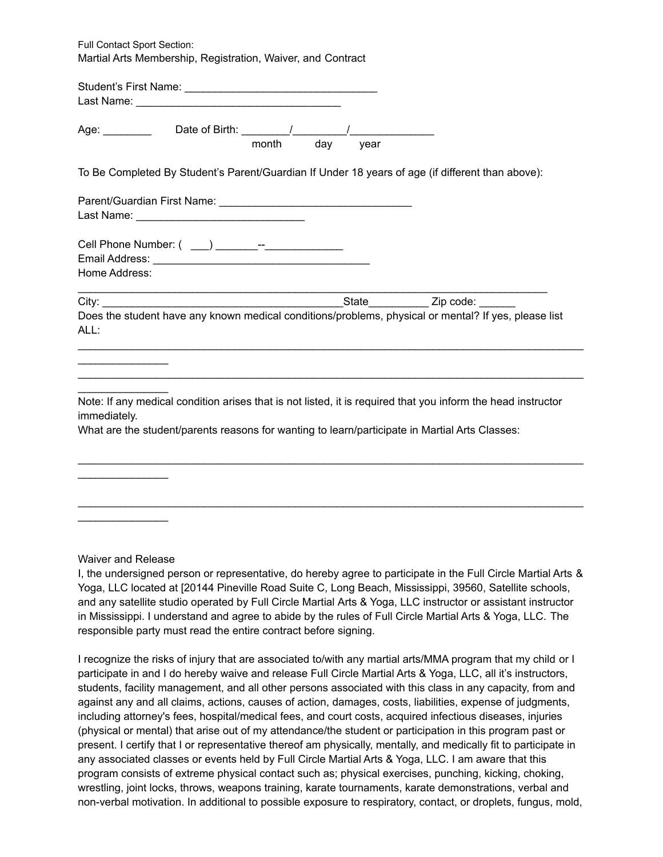Full Contact Sport Section: Martial Arts Membership, Registration, Waiver, and Contract

|  | vear |                                                                                                                                                                                                                       |
|--|------|-----------------------------------------------------------------------------------------------------------------------------------------------------------------------------------------------------------------------|
|  |      |                                                                                                                                                                                                                       |
|  |      |                                                                                                                                                                                                                       |
|  |      |                                                                                                                                                                                                                       |
|  |      |                                                                                                                                                                                                                       |
|  |      | Note: If any medical condition arises that is not listed, it is required that you inform the head instructor                                                                                                          |
|  |      | month day<br>To Be Completed By Student's Parent/Guardian If Under 18 years of age (if different than above):<br>Does the student have any known medical conditions/problems, physical or mental? If yes, please list |

Waiver and Release

 $\mathcal{L}$  , we have the set of  $\mathcal{L}$ 

 $\mathcal{L}$  , we have the set of  $\mathcal{L}$ 

I, the undersigned person or representative, do hereby agree to participate in the Full Circle Martial Arts & Yoga, LLC located at [20144 Pineville Road Suite C, Long Beach, Mississippi, 39560, Satellite schools, and any satellite studio operated by Full Circle Martial Arts & Yoga, LLC instructor or assistant instructor in Mississippi. I understand and agree to abide by the rules of Full Circle Martial Arts & Yoga, LLC. The responsible party must read the entire contract before signing.

 $\mathcal{L}_\text{max}$  , and the contribution of the contribution of the contribution of the contribution of the contribution of the contribution of the contribution of the contribution of the contribution of the contribution of t

I recognize the risks of injury that are associated to/with any martial arts/MMA program that my child or I participate in and I do hereby waive and release Full Circle Martial Arts & Yoga, LLC, all it's instructors, students, facility management, and all other persons associated with this class in any capacity, from and against any and all claims, actions, causes of action, damages, costs, liabilities, expense of judgments, including attorney's fees, hospital/medical fees, and court costs, acquired infectious diseases, injuries (physical or mental) that arise out of my attendance/the student or participation in this program past or present. I certify that I or representative thereof am physically, mentally, and medically fit to participate in any associated classes or events held by Full Circle Martial Arts & Yoga, LLC. I am aware that this program consists of extreme physical contact such as; physical exercises, punching, kicking, choking, wrestling, joint locks, throws, weapons training, karate tournaments, karate demonstrations, verbal and non-verbal motivation. In additional to possible exposure to respiratory, contact, or droplets, fungus, mold,